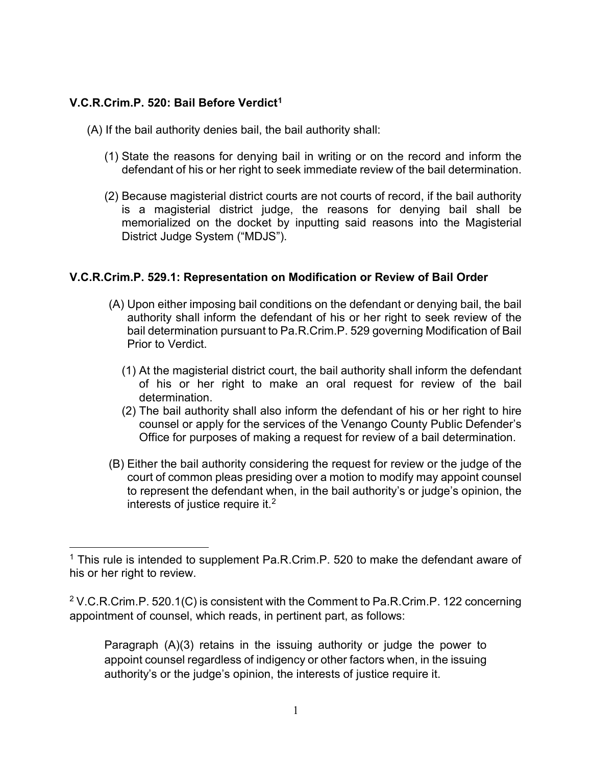## V.C.R.Crim.P. 520: Bail Before Verdict<sup>1</sup>

 $\overline{a}$ 

- (A) If the bail authority denies bail, the bail authority shall:
	- (1) State the reasons for denying bail in writing or on the record and inform the defendant of his or her right to seek immediate review of the bail determination.
	- (2) Because magisterial district courts are not courts of record, if the bail authority is a magisterial district judge, the reasons for denying bail shall be memorialized on the docket by inputting said reasons into the Magisterial District Judge System ("MDJS").

## V.C.R.Crim.P. 529.1: Representation on Modification or Review of Bail Order

- (A) Upon either imposing bail conditions on the defendant or denying bail, the bail authority shall inform the defendant of his or her right to seek review of the bail determination pursuant to Pa.R.Crim.P. 529 governing Modification of Bail Prior to Verdict.
	- (1) At the magisterial district court, the bail authority shall inform the defendant of his or her right to make an oral request for review of the bail determination.
	- (2) The bail authority shall also inform the defendant of his or her right to hire counsel or apply for the services of the Venango County Public Defender's Office for purposes of making a request for review of a bail determination.
- (B) Either the bail authority considering the request for review or the judge of the court of common pleas presiding over a motion to modify may appoint counsel to represent the defendant when, in the bail authority's or judge's opinion, the interests of justice require it.<sup>2</sup>

 $2$  V.C.R.Crim.P. 520.1(C) is consistent with the Comment to Pa.R.Crim.P. 122 concerning appointment of counsel, which reads, in pertinent part, as follows:

Paragraph (A)(3) retains in the issuing authority or judge the power to appoint counsel regardless of indigency or other factors when, in the issuing authority's or the judge's opinion, the interests of justice require it.

<sup>&</sup>lt;sup>1</sup> This rule is intended to supplement Pa.R.Crim.P. 520 to make the defendant aware of his or her right to review.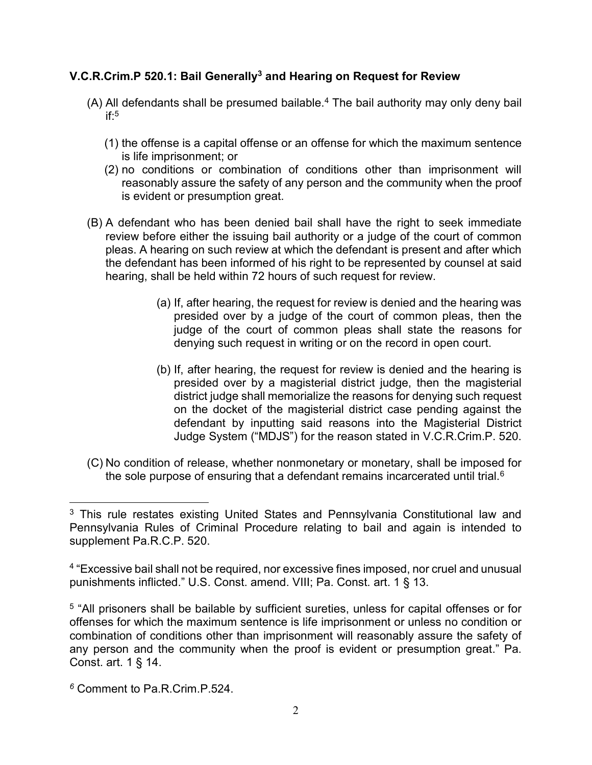## V.C.R.Crim.P 520.1: Bail Generally<sup>3</sup> and Hearing on Request for Review

- (A) All defendants shall be presumed bailable.<sup>4</sup> The bail authority may only deny bail if:<sup>5</sup>
	- (1) the offense is a capital offense or an offense for which the maximum sentence is life imprisonment; or
	- (2) no conditions or combination of conditions other than imprisonment will reasonably assure the safety of any person and the community when the proof is evident or presumption great.
- (B) A defendant who has been denied bail shall have the right to seek immediate review before either the issuing bail authority or a judge of the court of common pleas. A hearing on such review at which the defendant is present and after which the defendant has been informed of his right to be represented by counsel at said hearing, shall be held within 72 hours of such request for review.
	- (a) If, after hearing, the request for review is denied and the hearing was presided over by a judge of the court of common pleas, then the judge of the court of common pleas shall state the reasons for denying such request in writing or on the record in open court.
	- (b) If, after hearing, the request for review is denied and the hearing is presided over by a magisterial district judge, then the magisterial district judge shall memorialize the reasons for denying such request on the docket of the magisterial district case pending against the defendant by inputting said reasons into the Magisterial District Judge System ("MDJS") for the reason stated in V.C.R.Crim.P. 520.
- (C) No condition of release, whether nonmonetary or monetary, shall be imposed for the sole purpose of ensuring that a defendant remains incarcerated until trial.<sup>6</sup>

 $\overline{a}$ 

<sup>&</sup>lt;sup>3</sup> This rule restates existing United States and Pennsylvania Constitutional law and Pennsylvania Rules of Criminal Procedure relating to bail and again is intended to supplement Pa.R.C.P. 520.

<sup>&</sup>lt;sup>4</sup> "Excessive bail shall not be required, nor excessive fines imposed, nor cruel and unusual punishments inflicted." U.S. Const. amend. VIII; Pa. Const. art. 1 § 13.

<sup>&</sup>lt;sup>5</sup> "All prisoners shall be bailable by sufficient sureties, unless for capital offenses or for offenses for which the maximum sentence is life imprisonment or unless no condition or combination of conditions other than imprisonment will reasonably assure the safety of any person and the community when the proof is evident or presumption great." Pa. Const. art. 1 § 14.

 $6$  Comment to Pa R Crim. P.524.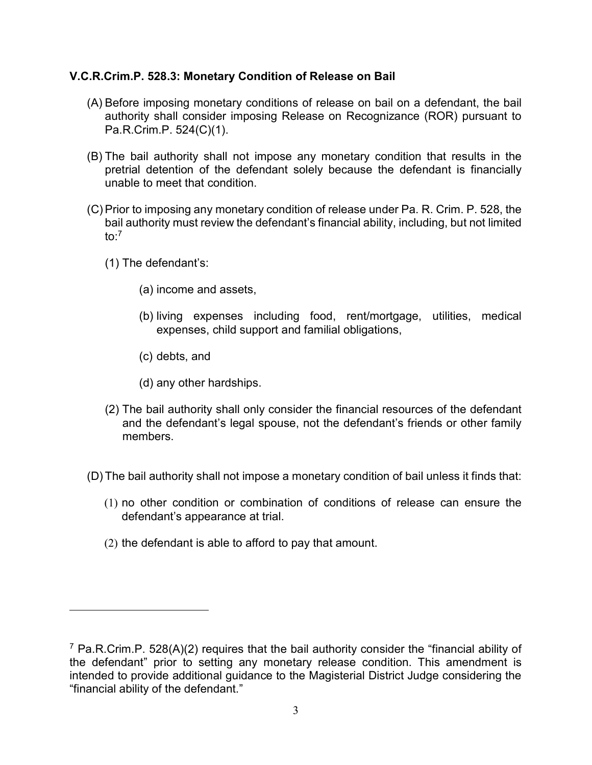## V.C.R.Crim.P. 528.3: Monetary Condition of Release on Bail

- (A) Before imposing monetary conditions of release on bail on a defendant, the bail authority shall consider imposing Release on Recognizance (ROR) pursuant to Pa.R.Crim.P. 524(C)(1).
- (B) The bail authority shall not impose any monetary condition that results in the pretrial detention of the defendant solely because the defendant is financially unable to meet that condition.
- (C) Prior to imposing any monetary condition of release under Pa. R. Crim. P. 528, the bail authority must review the defendant's financial ability, including, but not limited to: $7$ 
	- (1) The defendant's:

 $\overline{a}$ 

- (a) income and assets,
- (b) living expenses including food, rent/mortgage, utilities, medical expenses, child support and familial obligations,
- (c) debts, and
- (d) any other hardships.
- (2) The bail authority shall only consider the financial resources of the defendant and the defendant's legal spouse, not the defendant's friends or other family members.
- (D) The bail authority shall not impose a monetary condition of bail unless it finds that:
	- (1) no other condition or combination of conditions of release can ensure the defendant's appearance at trial.
	- (2) the defendant is able to afford to pay that amount.

<sup>&</sup>lt;sup>7</sup> Pa.R.Crim.P. 528(A)(2) requires that the bail authority consider the "financial ability of the defendant" prior to setting any monetary release condition. This amendment is intended to provide additional guidance to the Magisterial District Judge considering the "financial ability of the defendant."